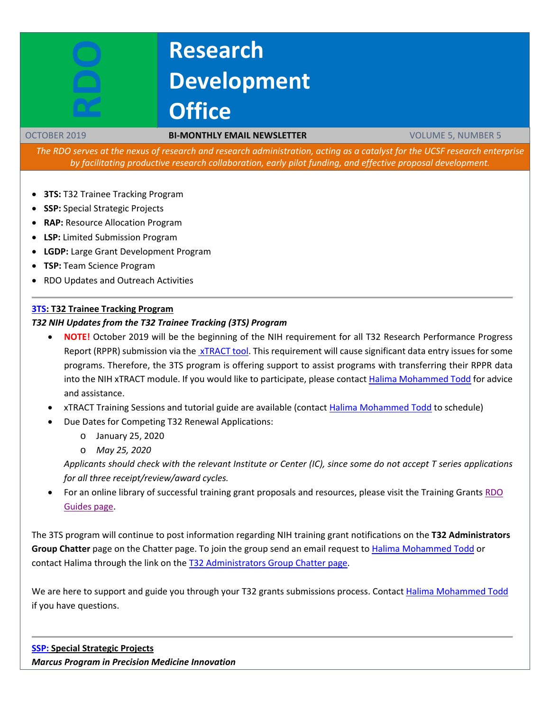# **Research Development Office**

#### OCTOBER 2019 **BI-MONTHLY EMAIL NEWSLETTER** VOLUME 5, NUMBER 5

The RDO serves at the nexus of research and research administration, acting as a catalyst for the UCSF research enterprise *by facilitating productive research collaboration, early pilot funding, and effective proposal development.*

- **3TS:** T32 Trainee Tracking Program
- **SSP:** Special Strategic Projects
- **RAP:** Resource Allocation Program
- **LSP:** Limited Submission Program
- **LGDP:** Large Grant Development Program
- **TSP:** Team Science Program
- RDO Updates and Outreach Activities

## **[3TS:](https://accelerate.ucsf.edu/training/t32-resources#tracking) T32 Trainee Tracking Program**

#### *T32 NIH Updates from the T32 Trainee Tracking (3TS) Program*

- **NOTE!** October 2019 will be the beginning of the NIH requirement for all T32 Research Performance Progress Report (RPPR) submission via the  $xTRACT$  tool. This requirement will cause significant data entry issues for some programs. Therefore, the 3TS program is offering support to assist programs with transferring their RPPR data into the NIH xTRACT module. If you would like to participate, please contact [Halima Mohammed Todd](mailto:Halima.Mohammed@ucsf.edu) for advice and assistance.
- xTRACT Training Sessions and tutorial guide are available (contact [Halima Mohammed Todd](mailto:Halima.Mohammed@ucsf.edu) to schedule)
- Due Dates for Competing T32 Renewal Applications:
	- o January 25, 2020
	- o *May 25, 2020*

*Applicants should check with the relevant Institute or Center (IC), since some do not accept T series applications for all three receipt/review/award cycles.*

• For an online library of successful training grant proposals and resources, please visit the Training Grants [RDO](https://guides.ucsf.edu/rdo/traininggrants)  [Guides page.](https://guides.ucsf.edu/rdo/traininggrants)

The 3TS program will continue to post information regarding NIH training grant notifications on the **T32 Administrators Group Chatter** page on the Chatter page. To join the group send an email request to Halima [Mohammed](mailto:Halima.Mohammed@ucsf.edu) Todd or contact Halima through the link on the T32 [Administrators](https://ucsf.my.salesforce.com/_ui/core/chatter/groups/GroupProfilePage?g=0F9A00000004SyW) Group Chatter page.

We are here to support and guide you through your T32 grants submissions process. Contact Halima [Mohammed](mailto:Halima.Mohammed@ucsf.edu) Todd if you have questions.

**[SSP:](http://rdo.ucsf.edu/team-science-research-innovation-program-tsrip) Special Strategic Projects** *Marcus Program in Precision Medicine Innovation*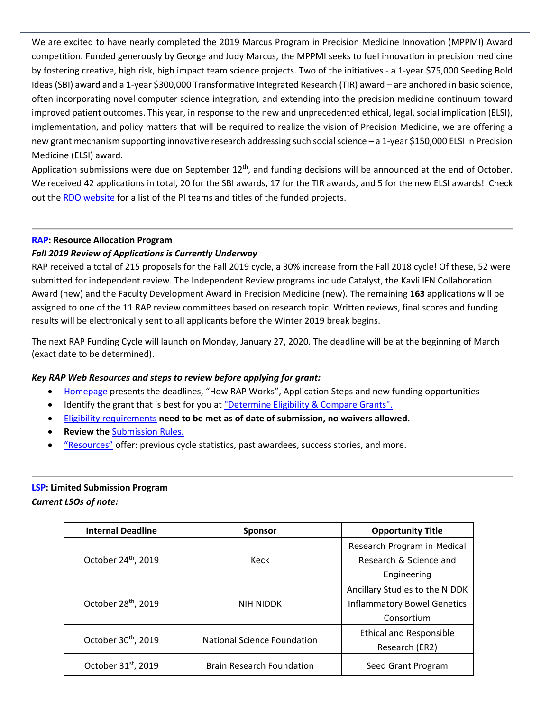We are excited to have nearly completed the 2019 Marcus Program in Precision Medicine Innovation (MPPMI) Award competition. Funded generously by George and Judy Marcus, the MPPMI seeks to fuel innovation in precision medicine by fostering creative, high risk, high impact team science projects. Two of the initiatives - a 1-year \$75,000 Seeding Bold Ideas (SBI) award and a 1-year \$300,000 Transformative Integrated Research (TIR) award – are anchored in basic science, often incorporating novel computer science integration, and extending into the precision medicine continuum toward improved patient outcomes. This year, in response to the new and unprecedented ethical, legal, social implication (ELSI), implementation, and policy matters that will be required to realize the vision of Precision Medicine, we are offering a new grant mechanism supporting innovative research addressing such social science – a 1-year \$150,000 ELSI in Precision Medicine (ELSI) award.

Application submissions were due on September  $12<sup>th</sup>$ , and funding decisions will be announced at the end of October. We received 42 applications in total, 20 for the SBI awards, 17 for the TIR awards, and 5 for the new ELSI awards! Check out the [RDO website](https://rdo.ucsf.edu/news/marcus-program-precision-medicine-innovation-overview) for a list of the PI teams and titles of the funded projects.

## **[RAP:](https://rap.ucsf.edu/) Resource Allocation Program**

## *Fall 2019 Review of Applications is Currently Underway*

RAP received a total of 215 proposals for the Fall 2019 cycle, a 30% increase from the Fall 2018 cycle! Of these, 52 were submitted for independent review. The Independent Review programs include Catalyst, the Kavli IFN Collaboration Award (new) and the Faculty Development Award in Precision Medicine (new). The remaining **163** applications will be assigned to one of the 11 RAP review committees based on research topic. Written reviews, final scores and funding results will be electronically sent to all applicants before the Winter 2019 break begins.

The next RAP Funding Cycle will launch on Monday, January 27, 2020. The deadline will be at the beginning of March (exact date to be determined).

#### *Key RAP Web Resources and steps to review before applying for grant:*

- [Homepage](https://rap.ucsf.edu/home) presents the deadlines, "How RAP Works", Application Steps and new funding opportunities
- Identify the grant that is best for you at ["Determine](https://rap.ucsf.edu/determine-eligibility-compare-grants) Eligibility & Compare Grants".
- Eligibility requirements **need to be met as of date of submission, no waivers allowed.**
- **Review the** [Submission](https://rap.ucsf.edu/submission-rules) Rules.
- ["Resources"](https://rap.ucsf.edu/resources) offer: previous cycle statistics, past awardees, success stories, and more.

#### **[LSP:](http://rdo.ucsf.edu/limited-submission-program-lsp) Limited Submission Program**

*Current LSOs of note:*

| <b>Internal Deadline</b>        | <b>Sponsor</b>                   | <b>Opportunity Title</b>           |
|---------------------------------|----------------------------------|------------------------------------|
| October 24 <sup>th</sup> , 2019 | Keck                             | Research Program in Medical        |
|                                 |                                  | Research & Science and             |
|                                 |                                  | Engineering                        |
| October 28 <sup>th</sup> , 2019 | NIH NIDDK                        | Ancillary Studies to the NIDDK     |
|                                 |                                  | <b>Inflammatory Bowel Genetics</b> |
|                                 |                                  | Consortium                         |
| October 30 <sup>th</sup> , 2019 | National Science Foundation      | <b>Ethical and Responsible</b>     |
|                                 |                                  | Research (ER2)                     |
| October 31 <sup>st</sup> , 2019 | <b>Brain Research Foundation</b> | Seed Grant Program                 |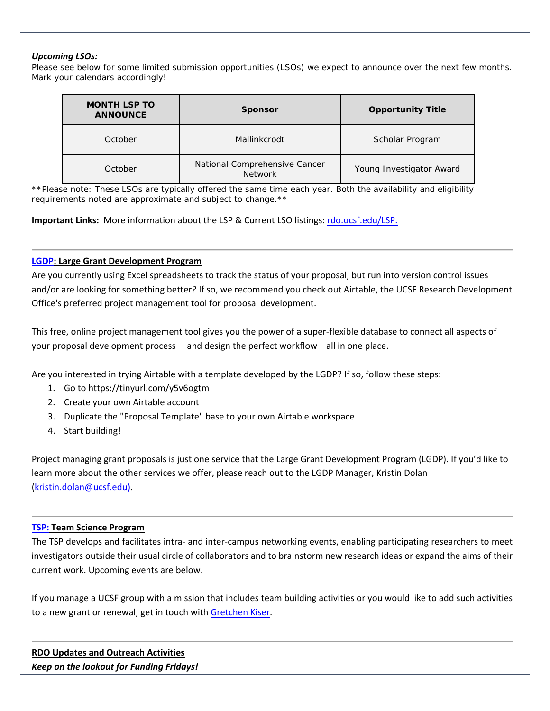#### *Upcoming LSOs:*

Please see below for some limited submission opportunities (LSOs) we expect to announce over the next few months. Mark your calendars accordingly!

| <b>MONTH LSP TO</b><br><b>ANNOUNCE</b> | <b>Sponsor</b>                                  | <b>Opportunity Title</b> |
|----------------------------------------|-------------------------------------------------|--------------------------|
| October                                | Mallinkcrodt                                    | Scholar Program          |
| October                                | National Comprehensive Cancer<br><b>Network</b> | Young Investigator Award |

\*\*Please note: These LSOs are typically offered the same time each year. Both the availability and eligibility *requirements noted are approximate and subject to change.\*\**

**Important Links:** More information about the LSP & Current LSO listings: [rdo.ucsf.edu/LSP.](http://rdo.ucsf.edu/limited-submission-program-lsp)

#### **[LGDP:](http://rdo.ucsf.edu/large-grant-development-program-lgdp) Large Grant Development Program**

Are you currently using Excel spreadsheets to track the status of your proposal, but run into version control issues and/or are looking for something better? If so, we recommend you check out Airtable, the UCSF Research Development Office's preferred project management tool for proposal development.

This free, online project management tool gives you the power of a super-flexible database to connect all aspects of your proposal development process —and design the perfect workflow—all in one place.

Are you interested in trying Airtable with a template developed by the LGDP? If so, follow these steps:

- 1. Go to https://tinyurl.com/y5v6ogtm
- 2. Create your own Airtable account
- 3. Duplicate the "Proposal Template" base to your own Airtable workspace
- 4. Start building!

Project managing grant proposals is just one service that the Large Grant Development Program (LGDP). If you'd like to learn more about the other services we offer, please reach out to the LGDP Manager, Kristin Dolan [\(kristin.dolan@ucsf.edu\)](mailto:kristin.dolan@ucsf.edu).

#### **[TSP:](http://rdo.ucsf.edu/team-science-research-innovation-program-tsrip) Team Science Program**

The TSP develops and facilitates intra- and inter-campus networking events, enabling participating researchers to meet investigators outside their usual circle of collaborators and to brainstorm new research ideas or expand the aims of their current work. Upcoming events are below.

If you manage a UCSF group with a mission that includes team building activities or you would like to add such activities to a new grant or renewal, get in touch with [Gretchen Kiser.](mailto:gretchen.kiser@ucsf.edu?subject=TSP%20inquiry)

**RDO Updates and Outreach Activities** *Keep on the lookout for Funding Fridays!*